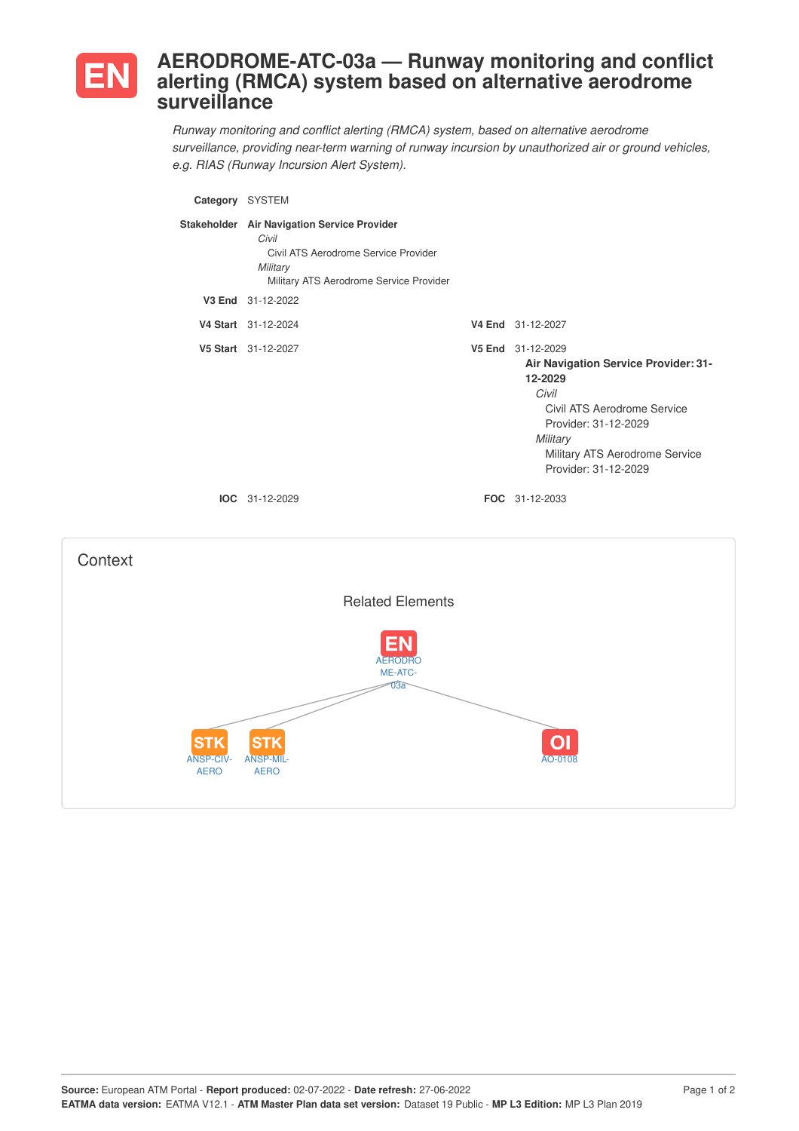

## **AERODROME-ATC-03a — Runway monitoring and conflict alerting (RMCA) system based on alternative aerodrome surveillance**

*Runway monitoring and conflict alerting (RMCA) system, based on alternative aerodrome surveillance, providing near-term warning of runway incursion by unauthorized air or ground vehicles, e.g. RIAS (Runway Incursion Alert System).*